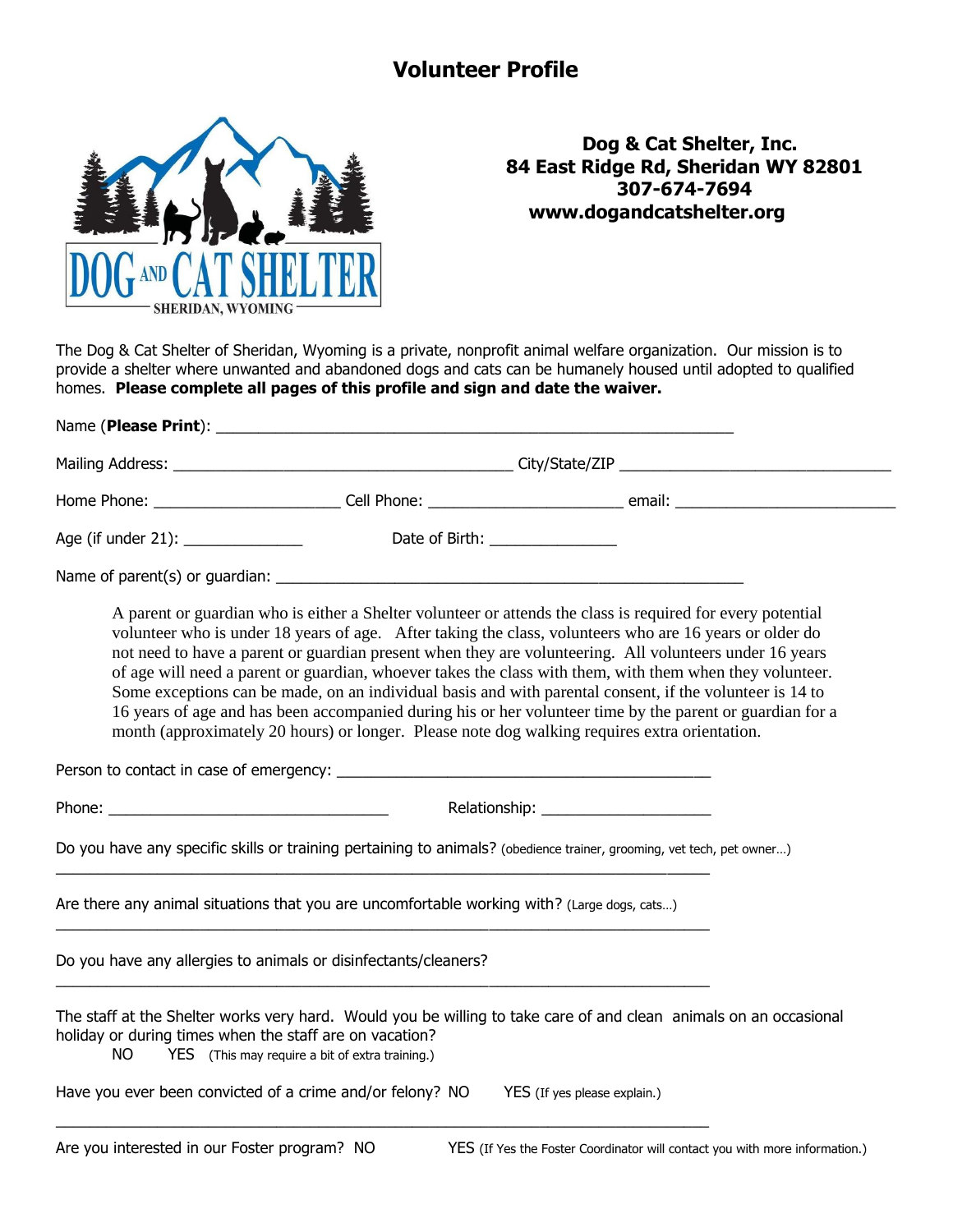## **Volunteer Profile**



## **Dog & Cat Shelter, Inc. 84 East Ridge Rd, Sheridan WY 82801 307-674-7694 www.dogandcatshelter.org**

The Dog & Cat Shelter of Sheridan, Wyoming is a private, nonprofit animal welfare organization. Our mission is to provide a shelter where unwanted and abandoned dogs and cats can be humanely housed until adopted to qualified homes. **Please complete all pages of this profile and sign and date the waiver.**

| Age (if under 21): ______________                                                                                                                                                   |                                                                                                                                                                                                                                                                                                                                                                                                                                                                                                                                                                                                                                                                                                                                                                         |  | Date of Birth: ______________ |  |                                                                             |
|-------------------------------------------------------------------------------------------------------------------------------------------------------------------------------------|-------------------------------------------------------------------------------------------------------------------------------------------------------------------------------------------------------------------------------------------------------------------------------------------------------------------------------------------------------------------------------------------------------------------------------------------------------------------------------------------------------------------------------------------------------------------------------------------------------------------------------------------------------------------------------------------------------------------------------------------------------------------------|--|-------------------------------|--|-----------------------------------------------------------------------------|
|                                                                                                                                                                                     |                                                                                                                                                                                                                                                                                                                                                                                                                                                                                                                                                                                                                                                                                                                                                                         |  |                               |  |                                                                             |
|                                                                                                                                                                                     | A parent or guardian who is either a Shelter volunteer or attends the class is required for every potential<br>volunteer who is under 18 years of age. After taking the class, volunteers who are 16 years or older do<br>not need to have a parent or guardian present when they are volunteering. All volunteers under 16 years<br>of age will need a parent or guardian, whoever takes the class with them, with them when they volunteer.<br>Some exceptions can be made, on an individual basis and with parental consent, if the volunteer is 14 to<br>16 years of age and has been accompanied during his or her volunteer time by the parent or guardian for a<br>month (approximately 20 hours) or longer. Please note dog walking requires extra orientation. |  |                               |  |                                                                             |
|                                                                                                                                                                                     |                                                                                                                                                                                                                                                                                                                                                                                                                                                                                                                                                                                                                                                                                                                                                                         |  |                               |  |                                                                             |
|                                                                                                                                                                                     |                                                                                                                                                                                                                                                                                                                                                                                                                                                                                                                                                                                                                                                                                                                                                                         |  |                               |  |                                                                             |
| Do you have any specific skills or training pertaining to animals? (obedience trainer, grooming, vet tech, pet owner)                                                               |                                                                                                                                                                                                                                                                                                                                                                                                                                                                                                                                                                                                                                                                                                                                                                         |  |                               |  |                                                                             |
| Are there any animal situations that you are uncomfortable working with? (Large dogs, cats)                                                                                         |                                                                                                                                                                                                                                                                                                                                                                                                                                                                                                                                                                                                                                                                                                                                                                         |  |                               |  |                                                                             |
| Do you have any allergies to animals or disinfectants/cleaners?                                                                                                                     |                                                                                                                                                                                                                                                                                                                                                                                                                                                                                                                                                                                                                                                                                                                                                                         |  |                               |  |                                                                             |
| The staff at the Shelter works very hard. Would you be willing to take care of and clean animals on an occasional<br>holiday or during times when the staff are on vacation?<br>NO. | YES (This may require a bit of extra training.)                                                                                                                                                                                                                                                                                                                                                                                                                                                                                                                                                                                                                                                                                                                         |  |                               |  |                                                                             |
| Have you ever been convicted of a crime and/or felony? NO                                                                                                                           |                                                                                                                                                                                                                                                                                                                                                                                                                                                                                                                                                                                                                                                                                                                                                                         |  | YES (If yes please explain.)  |  |                                                                             |
| Are you interested in our Foster program? NO                                                                                                                                        |                                                                                                                                                                                                                                                                                                                                                                                                                                                                                                                                                                                                                                                                                                                                                                         |  |                               |  | YES (If Yes the Foster Coordinator will contact you with more information.) |